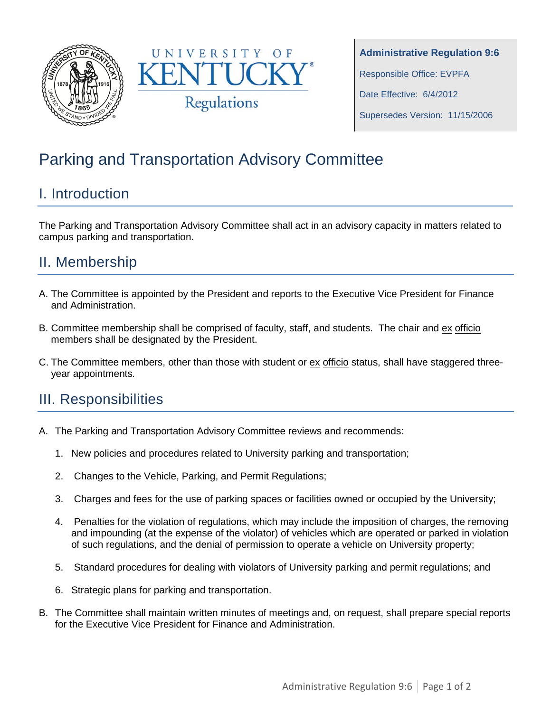



# Parking and Transportation Advisory Committee

## I. Introduction

The Parking and Transportation Advisory Committee shall act in an advisory capacity in matters related to campus parking and transportation.

### II. Membership

- A. The Committee is appointed by the President and reports to the Executive Vice President for Finance and Administration.
- B. Committee membership shall be comprised of faculty, staff, and students. The chair and ex officio members shall be designated by the President.
- C. The Committee members, other than those with student or ex officio status, shall have staggered threeyear appointments*.*

#### III. Responsibilities

- A. The Parking and Transportation Advisory Committee reviews and recommends:
	- 1. New policies and procedures related to University parking and transportation;
	- 2. Changes to the Vehicle, Parking, and Permit Regulations;
	- 3. Charges and fees for the use of parking spaces or facilities owned or occupied by the University;
	- 4. Penalties for the violation of regulations, which may include the imposition of charges, the removing and impounding (at the expense of the violator) of vehicles which are operated or parked in violation of such regulations, and the denial of permission to operate a vehicle on University property;
	- 5. Standard procedures for dealing with violators of University parking and permit regulations; and
	- 6. Strategic plans for parking and transportation.
- B. The Committee shall maintain written minutes of meetings and, on request, shall prepare special reports for the Executive Vice President for Finance and Administration.